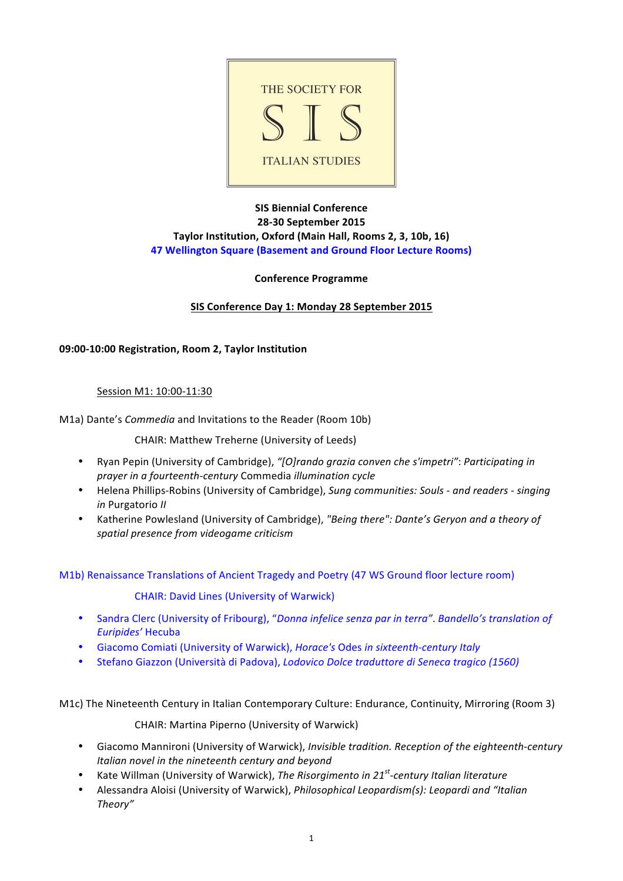

# **SIS Biennial Conference 28-30 September 2015 Taylor Institution, Oxford (Main Hall, Rooms 2, 3, 10b, 16) 47 Wellington Square (Basement and Ground Floor Lecture Rooms)**

# **Conference Programme**

# SIS Conference Day 1: Monday 28 September 2015

# **09:00-10:00 Registration, Room 2, Taylor Institution**

#### Session M1: 10:00-11:30

M1a) Dante's *Commedia* and Invitations to the Reader (Room 10b)

CHAIR: Matthew Treherne (University of Leeds)

- Ryan Pepin (University of Cambridge), "[O]rando grazia conven che s'impetri": Participating in *prayer in a fourteenth-century* Commedia *illumination* cycle
- Helena Phillips-Robins (University of Cambridge), *Sung communities: Souls and readers singing in* Purgatorio *II*
- Katherine Powlesland (University of Cambridge), "Being there": Dante's Geryon and a theory of *spatial presence from videogame criticism*

M1b) Renaissance Translations of Ancient Tragedy and Poetry (47 WS Ground floor lecture room)

CHAIR: David Lines (University of Warwick)

- Sandra Clerc (University of Fribourg), "Donna infelice senza par in terra". Bandello's translation of *Euripides'* Hecuba
- Giacomo Comiati (University of Warwick), *Horace's* Odes *in sixteenth-century Italy*
- Stefano Giazzon (Università di Padova), *Lodovico Dolce traduttore di Seneca tragico (1560)*

M1c) The Nineteenth Century in Italian Contemporary Culture: Endurance, Continuity, Mirroring (Room 3)

CHAIR: Martina Piperno (University of Warwick)

- Giacomo Mannironi (University of Warwick), *Invisible tradition. Reception of the eighteenth-century Italian novel in the nineteenth century and beyond*
- Kate Willman (University of Warwick), *The Risorgimento in 21<sup>st</sup>-century Italian literature*
- Alessandra Aloisi (University of Warwick), *Philosophical Leopardism(s): Leopardi and "Italian Theory"*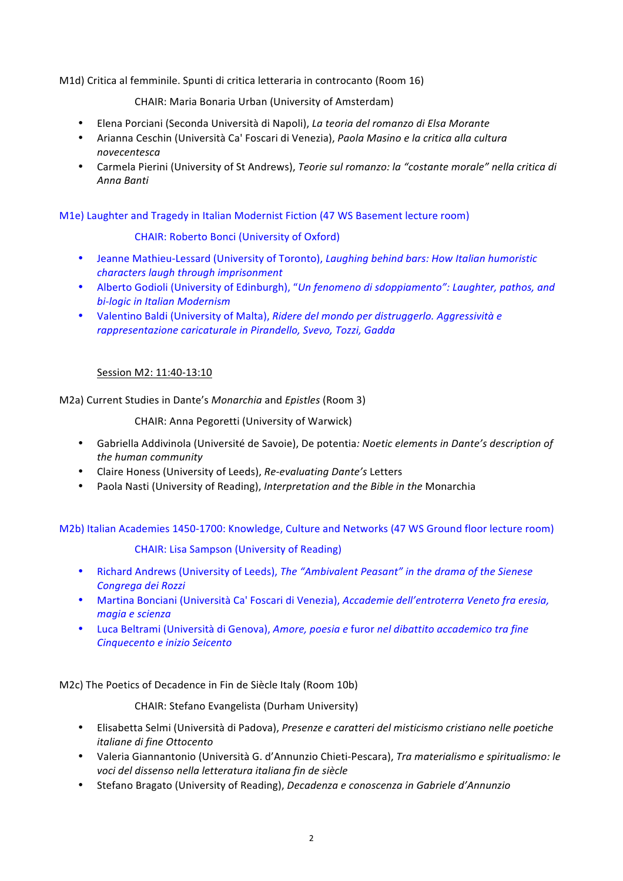M1d) Critica al femminile. Spunti di critica letteraria in controcanto (Room 16)

CHAIR: Maria Bonaria Urban (University of Amsterdam)

- Elena Porciani (Seconda Università di Napoli), *La teoria del romanzo di Elsa Morante*
- Arianna Ceschin (Università Ca' Foscari di Venezia), *Paola Masino e la critica alla cultura novecentesca*
- Carmela Pierini (University of St Andrews), *Teorie sul romanzo: la "costante morale" nella critica di Anna Banti*

M1e) Laughter and Tragedy in Italian Modernist Fiction (47 WS Basement lecture room)

# CHAIR: Roberto Bonci (University of Oxford)

- Jeanne Mathieu-Lessard (University of Toronto), *Laughing behind bars: How Italian humoristic characters laugh through imprisonment*
- Alberto Godioli (University of Edinburgh), "Un fenomeno di sdoppiamento": Laughter, pathos, and *bi-logic in Italian Modernism*
- Valentino Baldi (University of Malta), *Ridere del mondo per distruggerlo. Aggressività e* rappresentazione caricaturale in Pirandello, Svevo, Tozzi, Gadda

# Session M2: 11:40-13:10

M2a) Current Studies in Dante's *Monarchia* and *Epistles* (Room 3)

CHAIR: Anna Pegoretti (University of Warwick)

- Gabriella Addivinola (Université de Savoie), De potentia: Noetic elements in Dante's description of *the human community*
- Claire Honess (University of Leeds), *Re-evaluating Dante's* Letters
- Paola Nasti (University of Reading), *Interpretation and the Bible in the* Monarchia

M2b) Italian Academies 1450-1700: Knowledge, Culture and Networks (47 WS Ground floor lecture room)

#### CHAIR: Lisa Sampson (University of Reading)

- Richard Andrews (University of Leeds), *The "Ambivalent Peasant"* in the drama of the Sienese *Congrega dei Rozzi*
- Martina Bonciani (Università Ca' Foscari di Venezia), *Accademie dell'entroterra Veneto fra eresia, magia e scienza*
- Luca Beltrami (Università di Genova), *Amore, poesia e* furor *nel dibattito accademico tra fine Cinquecento e inizio Seicento*

M2c) The Poetics of Decadence in Fin de Siècle Italy (Room 10b)

CHAIR: Stefano Evangelista (Durham University)

- Elisabetta Selmi (Università di Padova), *Presenze e caratteri del misticismo cristiano nelle poetiche italiane di fine Ottocento*
- Valeria Giannantonio (Università G. d'Annunzio Chieti-Pescara), *Tra materialismo e spiritualismo: le voci del dissenso nella letteratura italiana fin de siècle*
- Stefano Bragato (University of Reading), *Decadenza e conoscenza in Gabriele d'Annunzio*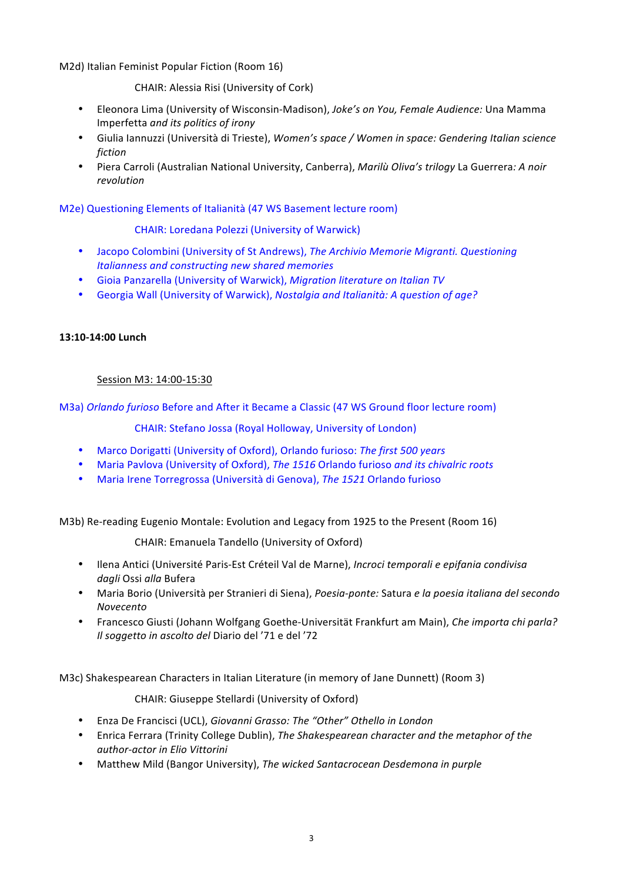M2d) Italian Feminist Popular Fiction (Room 16)

CHAIR: Alessia Risi (University of Cork)

- Eleonora Lima (University of Wisconsin-Madison), *Joke's on You, Female Audience:* Una Mamma Imperfetta *and its politics of irony*
- Giulia Iannuzzi (Università di Trieste), Women's space / Women in space: Gendering Italian science *fiction*
- Piera Carroli (Australian National University, Canberra), *Marilù Oliva's trilogy* La Guerrera: A noir *revolution*

M2e) Questioning Elements of Italianità (47 WS Basement lecture room)

CHAIR: Loredana Polezzi (University of Warwick)

- Jacopo Colombini (University of St Andrews), *The Archivio Memorie Migranti. Questioning Italianness and constructing new shared memories*
- Gioia Panzarella (University of Warwick), *Migration literature on Italian TV*
- Georgia Wall (University of Warwick), *Nostalgia and Italianità: A question of age?*

# **13:10-14:00 Lunch**

# Session M3: 14:00-15:30

M3a) *Orlando furioso* Before and After it Became a Classic (47 WS Ground floor lecture room)

CHAIR: Stefano Jossa (Royal Holloway, University of London)

- Marco Dorigatti (University of Oxford), Orlando furioso: The first 500 years
- Maria Paylova (University of Oxford), *The 1516* Orlando furioso *and its chivalric roots*
- Maria Irene Torregrossa (Università di Genova), The 1521 Orlando furioso

M3b) Re-reading Eugenio Montale: Evolution and Legacy from 1925 to the Present (Room 16)

CHAIR: Emanuela Tandello (University of Oxford)

- Ilena Antici (Université Paris-Est Créteil Val de Marne), *Incroci temporali e epifania condivisa dagli* Ossi *alla* Bufera
- Maria Borio (Università per Stranieri di Siena), *Poesia-ponte:* Satura *e la poesia italiana del secondo Novecento*
- Francesco Giusti (Johann Wolfgang Goethe-Universität Frankfurt am Main), *Che importa chi parla? Il soggetto in ascolto del Diario del '71 e del '72*

M3c) Shakespearean Characters in Italian Literature (in memory of Jane Dunnett) (Room 3)

CHAIR: Giuseppe Stellardi (University of Oxford)

- Enza De Francisci (UCL), *Giovanni Grasso: The "Other" Othello in London*
- Enrica Ferrara (Trinity College Dublin), *The Shakespearean character and the metaphor of the author-actor in Elio Vittorini*
- Matthew Mild (Bangor University), The wicked Santacrocean Desdemona in purple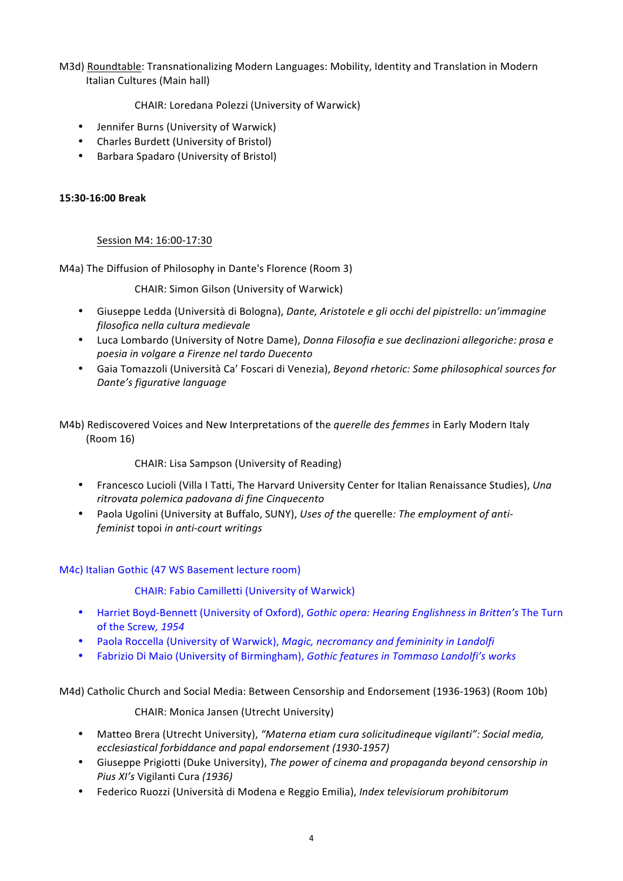# M3d) Roundtable: Transnationalizing Modern Languages: Mobility, Identity and Translation in Modern Italian Cultures (Main hall)

CHAIR: Loredana Polezzi (University of Warwick)

- Jennifer Burns (University of Warwick)
- Charles Burdett (University of Bristol)
- Barbara Spadaro (University of Bristol)

# **15:30-16:00 Break**

# Session M4: 16:00-17:30

M4a) The Diffusion of Philosophy in Dante's Florence (Room 3)

CHAIR: Simon Gilson (University of Warwick)

- Giuseppe Ledda (Università di Bologna), *Dante, Aristotele e gli occhi del pipistrello: un'immagine filosofica nella cultura medievale*
- Luca Lombardo (University of Notre Dame), *Donna Filosofia e sue declinazioni allegoriche: prosa e poesia in volgare a Firenze nel tardo Duecento*
- Gaia Tomazzoli (Università Ca' Foscari di Venezia), *Beyond rhetoric: Some philosophical sources for Dante's figurative language*
- M4b) Rediscovered Voices and New Interpretations of the *querelle des femmes* in Early Modern Italy (Room 16)

CHAIR: Lisa Sampson (University of Reading)

- Francesco Lucioli (Villa I Tatti, The Harvard University Center for Italian Renaissance Studies), *Una ritrovata polemica padovana di fine Cinquecento*
- Paola Ugolini (University at Buffalo, SUNY), Uses of the querelle: The employment of anti*feminist* topoi *in anti-court writings*

# M4c) Italian Gothic (47 WS Basement lecture room)

CHAIR: Fabio Camilletti (University of Warwick)

- Harriet Boyd-Bennett (University of Oxford), *Gothic opera: Hearing Englishness in Britten's* The Turn of the Screw, 1954
- Paola Roccella (University of Warwick), *Magic, necromancy and femininity in Landolfi*
- Fabrizio Di Maio (University of Birmingham), *Gothic features in Tommaso Landolfi's works*

M4d) Catholic Church and Social Media: Between Censorship and Endorsement (1936-1963) (Room 10b)

CHAIR: Monica Jansen (Utrecht University)

- Matteo Brera (Utrecht University), "Materna etiam cura solicitudineque vigilanti": Social media, *ecclesiastical forbiddance and papal endorsement (1930-1957)*
- Giuseppe Prigiotti (Duke University), *The power of cinema and propaganda beyond censorship in Pius XI's* Vigilanti Cura *(1936)*
- Federico Ruozzi (Università di Modena e Reggio Emilia), *Index televisiorum prohibitorum*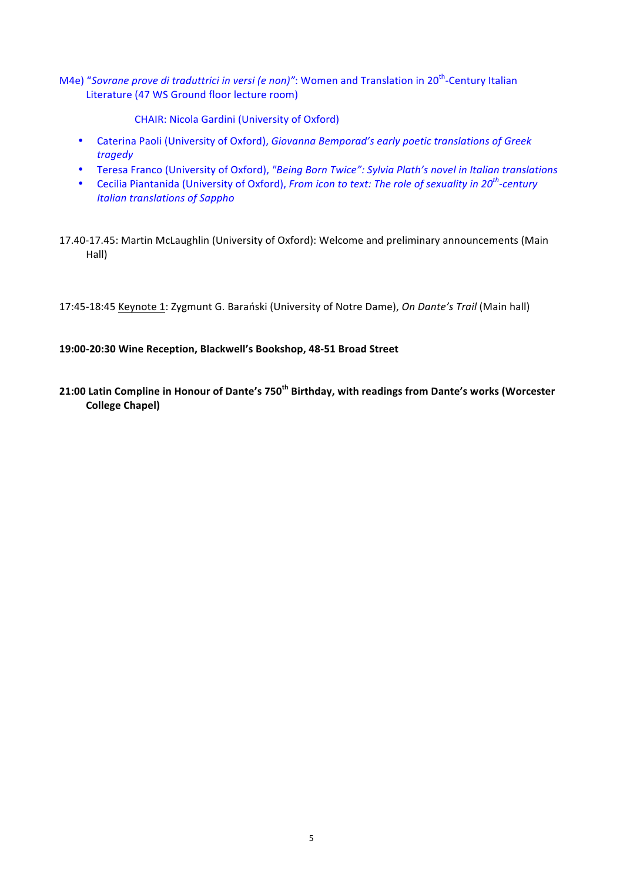M4e) "Sovrane prove di traduttrici in versi (e non)": Women and Translation in 20<sup>th</sup>-Century Italian Literature (47 WS Ground floor lecture room)

CHAIR: Nicola Gardini (University of Oxford)

- Caterina Paoli (University of Oxford), *Giovanna Bemporad's early poetic translations of Greek tragedy*
- Teresa Franco (University of Oxford), "Being Born Twice": Sylvia Plath's novel in Italian translations
- Cecilia Piantanida (University of Oxford), *From icon to text: The role of sexuality in 20<sup>th</sup>-century Italian translations of Sappho*
- 17.40-17.45: Martin McLaughlin (University of Oxford): Welcome and preliminary announcements (Main Hall)

17:45-18:45 Keynote 1: Zygmunt G. Barański (University of Notre Dame), *On Dante's Trail* (Main hall)

### **19:00-20:30 Wine Reception, Blackwell's Bookshop, 48-51 Broad Street**

**21:00 Latin Compline in Honour of Dante's 750<sup>th</sup> Birthday, with readings from Dante's works (Worcester College Chapel)**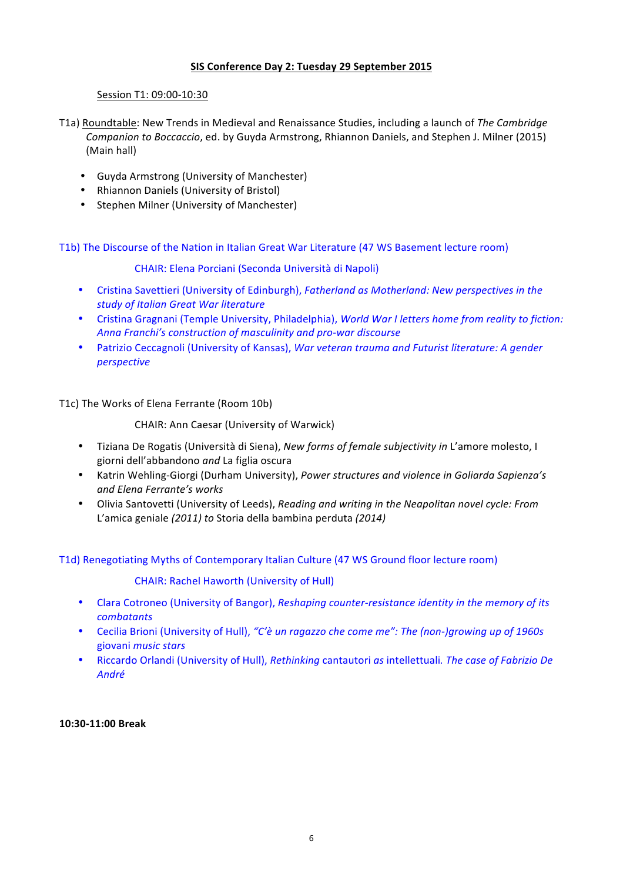# SIS Conference Day 2: Tuesday 29 September 2015

### Session T1: 09:00-10:30

- T1a) Roundtable: New Trends in Medieval and Renaissance Studies, including a launch of The Cambridge *Companion to Boccaccio*, ed. by Guyda Armstrong, Rhiannon Daniels, and Stephen J. Milner (2015) (Main hall)
	- Guyda Armstrong (University of Manchester)
	- Rhiannon Daniels (University of Bristol)
	- Stephen Milner (University of Manchester)

T1b) The Discourse of the Nation in Italian Great War Literature (47 WS Basement lecture room)

CHAIR: Elena Porciani (Seconda Università di Napoli)

- Cristina Savettieri (University of Edinburgh), *Fatherland as Motherland: New perspectives in the study of Italian Great War literature*
- Cristina Gragnani (Temple University, Philadelphia), *World War I letters home from reality to fiction:* Anna Franchi's construction of masculinity and pro-war discourse
- Patrizio Ceccagnoli (University of Kansas), *War veteran trauma and Futurist literature: A gender perspective*

T1c) The Works of Elena Ferrante (Room 10b)

CHAIR: Ann Caesar (University of Warwick)

- Tiziana De Rogatis (Università di Siena), *New forms of female subjectivity in* L'amore molesto, I giorni dell'abbandono *and* La figlia oscura
- Katrin Wehling-Giorgi (Durham University), *Power structures and violence in Goliarda Sapienza's and Elena Ferrante's works*
- Olivia Santovetti (University of Leeds), *Reading and writing in the Neapolitan novel cycle: From*  L'amica geniale (2011) to Storia della bambina perduta (2014)

T1d) Renegotiating Myths of Contemporary Italian Culture (47 WS Ground floor lecture room)

#### CHAIR: Rachel Haworth (University of Hull)

- Clara Cotroneo (University of Bangor), *Reshaping counter-resistance identity in the memory of its combatants*
- Cecilia Brioni (University of Hull), "C'è un ragazzo che come me": The (non-)growing up of 1960s giovani *music stars*
- Riccardo Orlandi (University of Hull), *Rethinking* cantautori *as* intellettuali. The case of Fabrizio De *André*

**10:30-11:00 Break**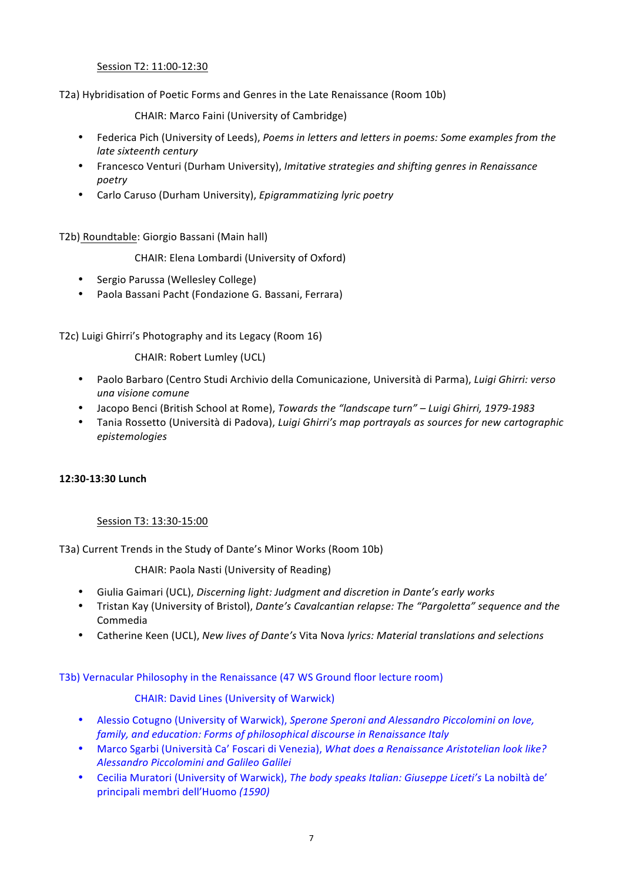# Session T2: 11:00-12:30

T2a) Hybridisation of Poetic Forms and Genres in the Late Renaissance (Room 10b)

CHAIR: Marco Faini (University of Cambridge)

- Federica Pich (University of Leeds), *Poems in letters and letters in poems: Some examples from the late sixteenth century*
- Francesco Venturi (Durham University), *Imitative strategies and shifting genres in Renaissance poetry*
- Carlo Caruso (Durham University), *Epigrammatizing lyric poetry*

T2b) Roundtable: Giorgio Bassani (Main hall)

CHAIR: Elena Lombardi (University of Oxford)

- Sergio Parussa (Wellesley College)
- Paola Bassani Pacht (Fondazione G. Bassani, Ferrara)

T2c) Luigi Ghirri's Photography and its Legacy (Room 16)

CHAIR: Robert Lumley (UCL)

- Paolo Barbaro (Centro Studi Archivio della Comunicazione, Università di Parma), *Luigi Ghirri: verso una visione comune*
- Jacopo Benci (British School at Rome), *Towards the "landscape turn" – Luigi Ghirri, 1979-1983*
- Tania Rossetto (Università di Padova), *Luigi Ghirri's map portrayals as sources for new cartographic epistemologies*

#### **12:30-13:30 Lunch**

#### Session T3: 13:30-15:00

T3a) Current Trends in the Study of Dante's Minor Works (Room 10b)

CHAIR: Paola Nasti (University of Reading)

- Giulia Gaimari (UCL), *Discerning light: Judgment and discretion in Dante's early works*
- Tristan Kay (University of Bristol), *Dante's Cavalcantian relapse: The "Pargoletta" sequence and the* Commedia
- Catherine Keen (UCL), *New lives of Dante's* Vita Nova *lyrics: Material translations and selections*

T3b) Vernacular Philosophy in the Renaissance (47 WS Ground floor lecture room)

CHAIR: David Lines (University of Warwick)

- Alessio Cotugno (University of Warwick), *Sperone Speroni and Alessandro Piccolomini on love*, *family, and education: Forms of philosophical discourse in Renaissance Italy*
- Marco Sgarbi (Università Ca' Foscari di Venezia), *What does a Renaissance Aristotelian look like? Alessandro Piccolomini and Galileo Galilei*
- Cecilia Muratori (University of Warwick), *The body speaks Italian: Giuseppe Liceti's* La nobiltà de' principali membri dell'Huomo *(1590)*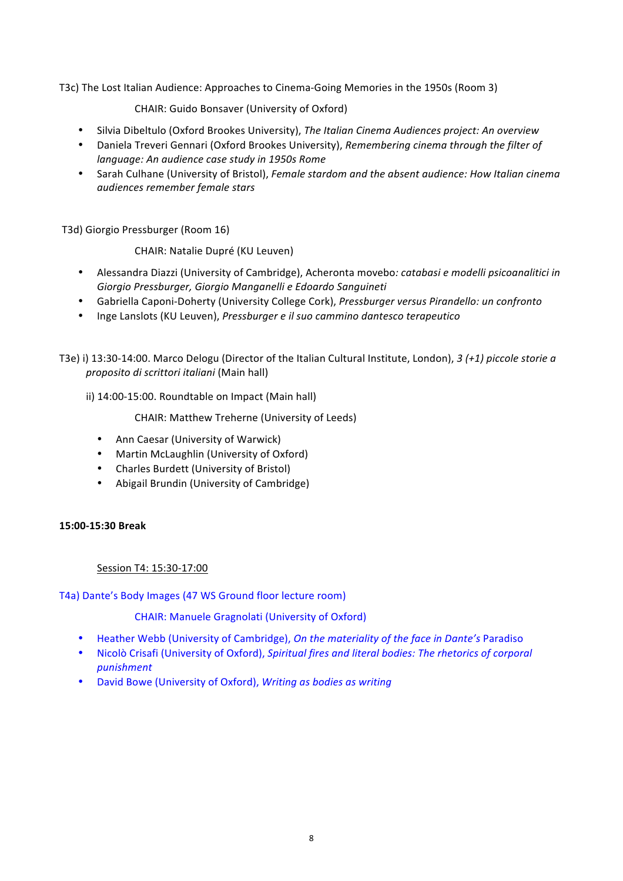T3c) The Lost Italian Audience: Approaches to Cinema-Going Memories in the 1950s (Room 3)

CHAIR: Guido Bonsaver (University of Oxford)

- Silvia Dibeltulo (Oxford Brookes University), *The Italian Cinema Audiences project: An overview*
- Daniela Treveri Gennari (Oxford Brookes University), *Remembering cinema through the filter of language: An audience case study in 1950s Rome*
- Sarah Culhane (University of Bristol), *Female stardom and the absent audience: How Italian cinema audiences remember female stars*

T3d) Giorgio Pressburger (Room 16)

CHAIR: Natalie Dupré (KU Leuven)

- Alessandra Diazzi (University of Cambridge), Acheronta movebo*: catabasi e modelli psicoanalitici in Giorgio Pressburger, Giorgio Manganelli e Edoardo Sanguineti*
- Gabriella Caponi-Doherty (University College Cork), *Pressburger versus Pirandello: un confronto*
- Inge Lanslots (KU Leuven), *Pressburger e il suo cammino dantesco terapeutico*

T3e) i) 13:30-14:00. Marco Delogu (Director of the Italian Cultural Institute, London), 3 (+1) piccole storie a *proposito di scrittori italiani* (Main hall)

ii) 14:00-15:00. Roundtable on Impact (Main hall)

CHAIR: Matthew Treherne (University of Leeds)

- Ann Caesar (University of Warwick)
- Martin McLaughlin (University of Oxford)
- Charles Burdett (University of Bristol)
- Abigail Brundin (University of Cambridge)

#### **15:00-15:30 Break**

Session T4: 15:30-17:00

T4a) Dante's Body Images (47 WS Ground floor lecture room)

CHAIR: Manuele Gragnolati (University of Oxford)

- Heather Webb (University of Cambridge), *On the materiality of the face in Dante's* Paradiso
- Nicolò Crisafi (University of Oxford), *Spiritual fires and literal bodies: The rhetorics of corporal punishment*
- David Bowe (University of Oxford), *Writing as bodies as writing*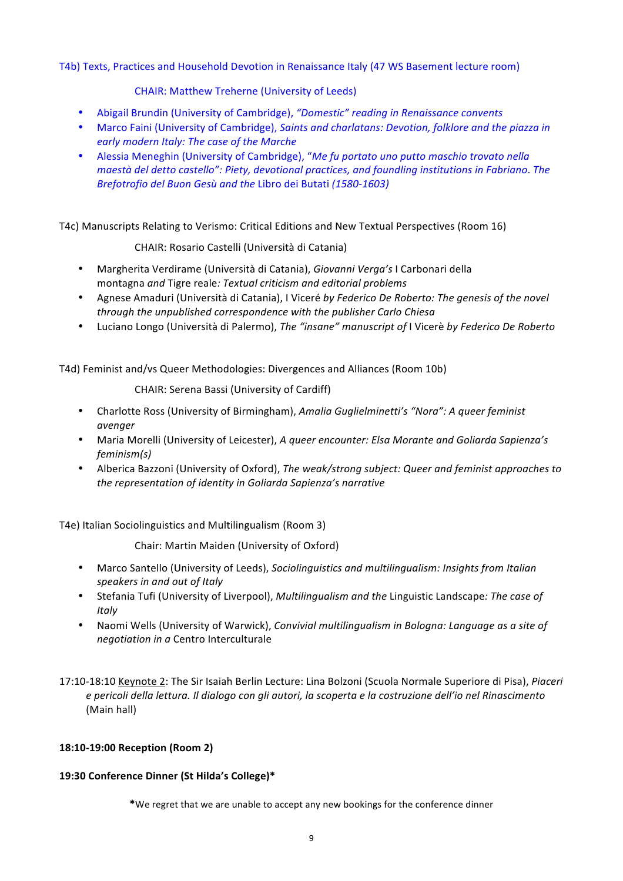# T4b) Texts, Practices and Household Devotion in Renaissance Italy (47 WS Basement lecture room)

CHAIR: Matthew Treherne (University of Leeds)

- Abigail Brundin (University of Cambridge), "Domestic" reading in Renaissance convents
- Marco Faini (University of Cambridge), *Saints and charlatans: Devotion, folklore and the piazza in* early modern Italy: The case of the Marche
- Alessia Meneghin (University of Cambridge), "*Me fu portato uno putto maschio trovato nella maestà del detto castello": Piety, devotional practices, and foundling institutions in Fabriano. The Brefotrofio del Buon Gesù and the Libro dei Butati (1580-1603)*

T4c) Manuscripts Relating to Verismo: Critical Editions and New Textual Perspectives (Room 16)

CHAIR: Rosario Castelli (Università di Catania)

- Margherita Verdirame (Università di Catania), *Giovanni Verga's* I Carbonari della montagna *and* Tigre reale: Textual criticism and editorial problems
- Agnese Amaduri (Università di Catania), I Viceré by Federico De Roberto: The genesis of the novel *through the unpublished correspondence with the publisher Carlo Chiesa*
- Luciano Longo (Università di Palermo), *The "insane" manuscript of* I Vicerè *by Federico De Roberto*

T4d) Feminist and/vs Queer Methodologies: Divergences and Alliances (Room 10b)

CHAIR: Serena Bassi (University of Cardiff)

- Charlotte Ross (University of Birmingham), *Amalia Guglielminetti's* "Nora": A queer feminist *avenger*
- Maria Morelli (University of Leicester), A queer encounter: Elsa Morante and Goliarda Sapienza's *feminism(s)*
- Alberica Bazzoni (University of Oxford), *The weak/strong subject: Queer and feminist approaches to the representation of identity in Goliarda Sapienza's narrative*

T4e) Italian Sociolinguistics and Multilingualism (Room 3)

Chair: Martin Maiden (University of Oxford)

- Marco Santello (University of Leeds), *Sociolinguistics and multilingualism: Insights from Italian* speakers in and out of Italy
- Stefania Tufi (University of Liverpool), *Multilingualism and the Linguistic Landscape: The case of Italy*
- Naomi Wells (University of Warwick), *Convivial multilingualism in Bologna: Language as a site of negotiation in a* Centro Interculturale
- 17:10-18:10 Keynote 2: The Sir Isaiah Berlin Lecture: Lina Bolzoni (Scuola Normale Superiore di Pisa), Piaceri *e pericoli della lettura. Il dialogo con gli autori, la scoperta e la costruzione dell'io nel Rinascimento* (Main hall)

# **18:10-19:00 Reception (Room 2)**

# **19:30 Conference Dinner (St Hilda's College)\***

\*We regret that we are unable to accept any new bookings for the conference dinner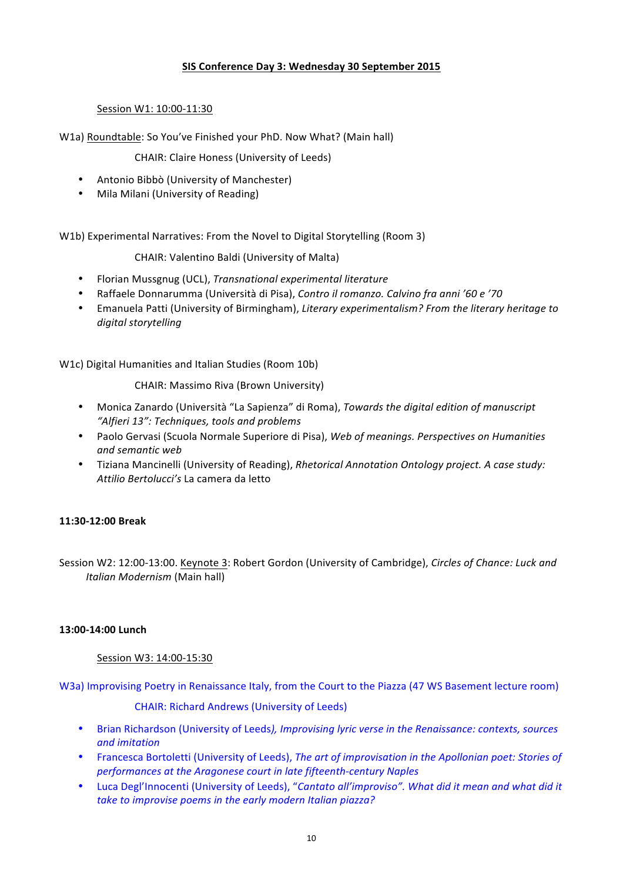# **SIS Conference Day 3: Wednesday 30 September 2015**

# Session W1: 10:00-11:30

W1a) Roundtable: So You've Finished your PhD. Now What? (Main hall)

CHAIR: Claire Honess (University of Leeds)

- Antonio Bibbò (University of Manchester)
- Mila Milani (University of Reading)

W1b) Experimental Narratives: From the Novel to Digital Storytelling (Room 3)

CHAIR: Valentino Baldi (University of Malta)

- Florian Mussgnug (UCL), *Transnational experimental literature*
- Raffaele Donnarumma (Università di Pisa), *Contro il romanzo. Calvino fra anni '60 e '70*
- Emanuela Patti (University of Birmingham), *Literary experimentalism? From the literary heritage to digital storytelling*

W1c) Digital Humanities and Italian Studies (Room 10b)

CHAIR: Massimo Riva (Brown University)

- Monica Zanardo (Università "La Sapienza" di Roma), *Towards the digital edition of manuscript "Alfieri 13": Techniques, tools and problems*
- Paolo Gervasi (Scuola Normale Superiore di Pisa), *Web of meanings. Perspectives on Humanities and semantic web*
- Tiziana Mancinelli (University of Reading), *Rhetorical Annotation Ontology project. A case study: Attilio Bertolucci's* La camera da letto

### **11:30-12:00 Break**

Session W2: 12:00-13:00. Keynote 3: Robert Gordon (University of Cambridge), *Circles of Chance: Luck and Italian Modernism* (Main hall)

#### **13:00-14:00 Lunch**

Session W3: 14:00-15:30

W3a) Improvising Poetry in Renaissance Italy, from the Court to the Piazza (47 WS Basement lecture room)

CHAIR: Richard Andrews (University of Leeds)

- Brian Richardson (University of Leeds), *Improvising lyric verse in the Renaissance: contexts, sources and imitation*
- Francesca Bortoletti (University of Leeds), *The art of improvisation in the Apollonian poet: Stories of performances at the Aragonese court in late fifteenth-century Naples*
- Luca Degl'Innocenti (University of Leeds), "Cantato all'improviso". What did it mean and what did it take to improvise poems in the early modern Italian piazza?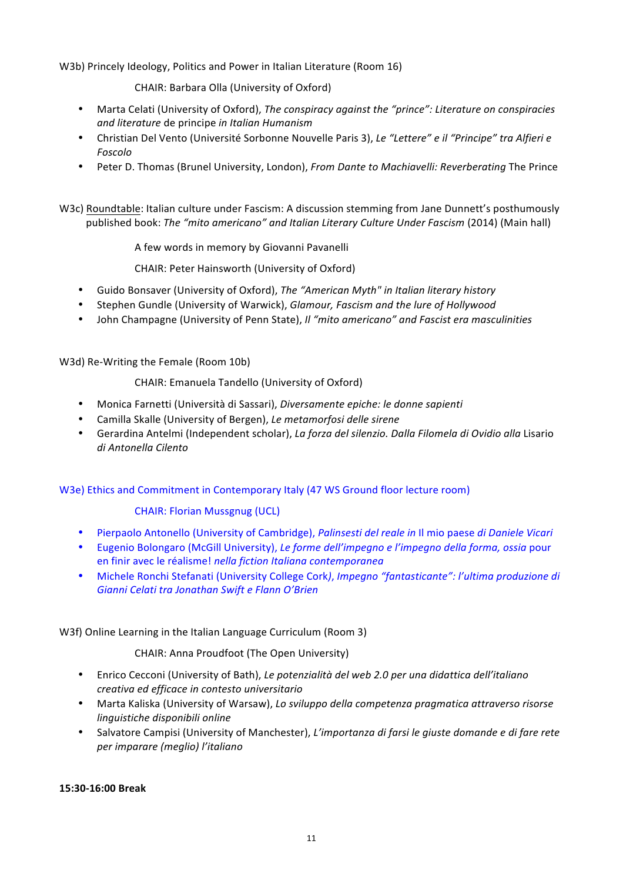W3b) Princely Ideology, Politics and Power in Italian Literature (Room 16)

CHAIR: Barbara Olla (University of Oxford)

- Marta Celati (University of Oxford), *The conspiracy against the "prince": Literature on conspiracies and literature* de principe *in Italian Humanism*
- Christian Del Vento (Université Sorbonne Nouvelle Paris 3), Le "Lettere" e il "Principe" tra Alfieri e *Foscolo*
- Peter D. Thomas (Brunel University, London), *From Dante to Machiavelli: Reverberating* The Prince
- W3c) Roundtable: Italian culture under Fascism: A discussion stemming from Jane Dunnett's posthumously published book: The "mito americano" and Italian Literary Culture Under Fascism (2014) (Main hall)

A few words in memory by Giovanni Pavanelli

CHAIR: Peter Hainsworth (University of Oxford)

- Guido Bonsaver (University of Oxford), *The "American Myth" in Italian literary history*
- Stephen Gundle (University of Warwick), *Glamour, Fascism and the lure of Hollywood*
- John Champagne (University of Penn State), *Il "mito americano" and Fascist era masculinities*

W3d) Re-Writing the Female (Room 10b)

# CHAIR: Emanuela Tandello (University of Oxford)

- Monica Farnetti (Università di Sassari), *Diversamente epiche: le donne sapienti*
- Camilla Skalle (University of Bergen), Le metamorfosi delle sirene
- Gerardina Antelmi (Independent scholar), *La forza del silenzio. Dalla Filomela di Ovidio alla* Lisario *di Antonella Cilento*

W3e) Ethics and Commitment in Contemporary Italy (47 WS Ground floor lecture room)

#### **CHAIR: Florian Mussgnug (UCL)**

- Pierpaolo Antonello (University of Cambridge), *Palinsesti del reale in* Il mio paese *di Daniele Vicari*
- Eugenio Bolongaro (McGill University), Le forme dell'impegno e l'impegno della forma, ossia pour en finir avec le réalisme! *nella fiction Italiana contemporanea*
- Michele Ronchi Stefanati (University College Cork), *Impegno "fantasticante": l'ultima produzione di* Gianni Celati tra Jonathan Swift e Flann O'Brien

#### W3f) Online Learning in the Italian Language Curriculum (Room 3)

CHAIR: Anna Proudfoot (The Open University)

- Enrico Cecconi (University of Bath), *Le potenzialità del web 2.0 per una didattica dell'italiano creativa ed efficace in contesto universitario*
- Marta Kaliska (University of Warsaw), *Lo sviluppo della competenza pragmatica attraverso risorse linguistiche disponibili online*
- Salvatore Campisi (University of Manchester), *L'importanza di farsi le giuste domande e di fare rete per imparare (meglio) l'italiano*

**15:30-16:00 Break**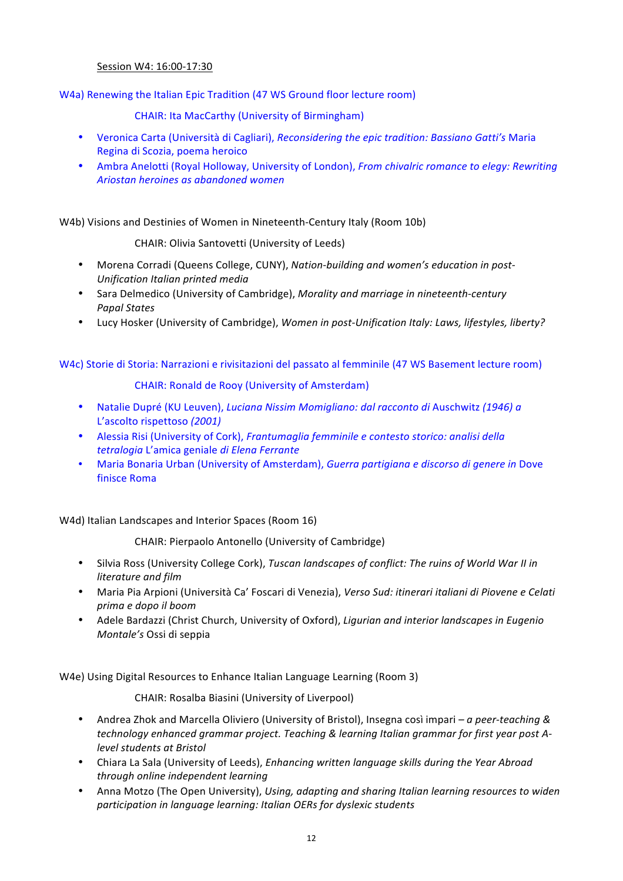# Session W4: 16:00-17:30

W4a) Renewing the Italian Epic Tradition (47 WS Ground floor lecture room)

CHAIR: Ita MacCarthy (University of Birmingham)

- Veronica Carta (Università di Cagliari), *Reconsidering the epic tradition: Bassiano Gatti's* Maria Regina di Scozia, poema heroico
- Ambra Anelotti (Royal Holloway, University of London), *From chivalric romance to elegy: Rewriting Ariostan heroines as abandoned women*

W4b) Visions and Destinies of Women in Nineteenth-Century Italy (Room 10b)

CHAIR: Olivia Santovetti (University of Leeds)

- Morena Corradi (Queens College, CUNY), *Nation-building and women's education in post-Unification Italian printed media*
- Sara Delmedico (University of Cambridge), *Morality and marriage in nineteenth-century Papal States*
- Lucy Hosker (University of Cambridge), *Women in post-Unification Italy: Laws, lifestyles, liberty?*

# W4c) Storie di Storia: Narrazioni e rivisitazioni del passato al femminile (47 WS Basement lecture room)

CHAIR: Ronald de Rooy (University of Amsterdam)

- Natalie Dupré (KU Leuven), *Luciana Nissim Momigliano: dal racconto di* Auschwitz (1946) a L'ascolto rispettoso *(2001)*
- Alessia Risi (University of Cork), *Frantumaglia femminile e contesto storico: analisi della tetralogia* L'amica geniale *di Elena Ferrante*
- Maria Bonaria Urban (University of Amsterdam), *Guerra partigiana e discorso di genere in* Dove finisce Roma

W4d) Italian Landscapes and Interior Spaces (Room 16)

CHAIR: Pierpaolo Antonello (University of Cambridge)

- Silvia Ross (University College Cork), *Tuscan landscapes of conflict: The ruins of World War II in literature and film*
- Maria Pia Arpioni (Università Ca' Foscari di Venezia), *Verso Sud: itinerari italiani di Piovene e Celati prima e dopo il boom*
- Adele Bardazzi (Christ Church, University of Oxford), *Ligurian and interior landscapes in Eugenio Montale's* Ossi di seppia

W4e) Using Digital Resources to Enhance Italian Language Learning (Room 3)

CHAIR: Rosalba Biasini (University of Liverpool)

- Andrea Zhok and Marcella Oliviero (University of Bristol), Insegna così impari *a peer-teaching* & technology enhanced grammar project. Teaching & learning Italian grammar for first year post A*level students at Bristol*
- Chiara La Sala (University of Leeds), *Enhancing written language skills during the Year Abroad through online independent learning*
- Anna Motzo (The Open University), *Using, adapting and sharing Italian learning resources to widen participation in language learning: Italian OERs for dyslexic students*